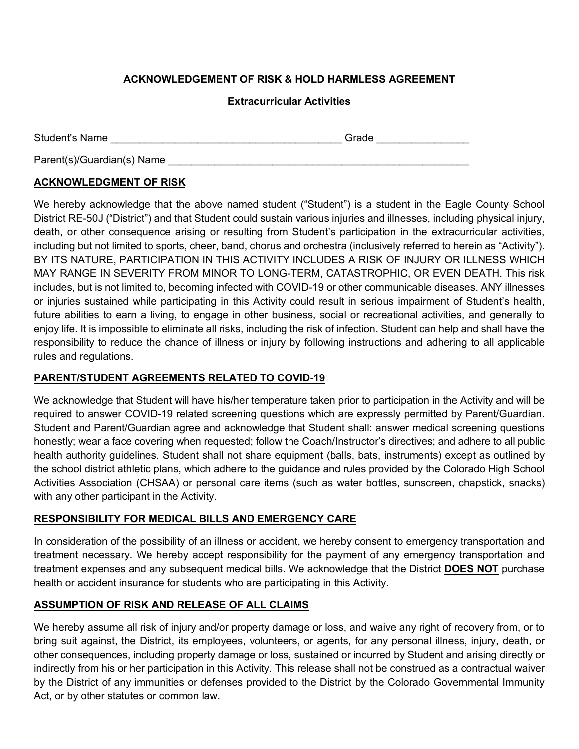# **ACKNOWLEDGEMENT OF RISK & HOLD HARMLESS AGREEMENT**

#### **Extracurricular Activities**

| <b>Student's Name</b> | . |  |
|-----------------------|---|--|
|                       |   |  |

Parent(s)/Guardian(s) Name

### **ACKNOWLEDGMENT OF RISK**

We hereby acknowledge that the above named student ("Student") is a student in the Eagle County School District RE-50J ("District") and that Student could sustain various injuries and illnesses, including physical injury, death, or other consequence arising or resulting from Student's participation in the extracurricular activities, including but not limited to sports, cheer, band, chorus and orchestra (inclusively referred to herein as "Activity"). BY ITS NATURE, PARTICIPATION IN THIS ACTIVITY INCLUDES A RISK OF INJURY OR ILLNESS WHICH MAY RANGE IN SEVERITY FROM MINOR TO LONG-TERM, CATASTROPHIC, OR EVEN DEATH. This risk includes, but is not limited to, becoming infected with COVID-19 or other communicable diseases. ANY illnesses or injuries sustained while participating in this Activity could result in serious impairment of Student's health, future abilities to earn a living, to engage in other business, social or recreational activities, and generally to enjoy life. It is impossible to eliminate all risks, including the risk of infection. Student can help and shall have the responsibility to reduce the chance of illness or injury by following instructions and adhering to all applicable rules and regulations.

### **PARENT/STUDENT AGREEMENTS RELATED TO COVID-19**

We acknowledge that Student will have his/her temperature taken prior to participation in the Activity and will be required to answer COVID-19 related screening questions which are expressly permitted by Parent/Guardian. Student and Parent/Guardian agree and acknowledge that Student shall: answer medical screening questions honestly; wear a face covering when requested; follow the Coach/Instructor's directives; and adhere to all public health authority guidelines. Student shall not share equipment (balls, bats, instruments) except as outlined by the school district athletic plans, which adhere to the guidance and rules provided by the Colorado High School Activities Association (CHSAA) or personal care items (such as water bottles, sunscreen, chapstick, snacks) with any other participant in the Activity.

## **RESPONSIBILITY FOR MEDICAL BILLS AND EMERGENCY CARE**

In consideration of the possibility of an illness or accident, we hereby consent to emergency transportation and treatment necessary. We hereby accept responsibility for the payment of any emergency transportation and treatment expenses and any subsequent medical bills. We acknowledge that the District **DOES NOT** purchase health or accident insurance for students who are participating in this Activity.

## **ASSUMPTION OF RISK AND RELEASE OF ALL CLAIMS**

We hereby assume all risk of injury and/or property damage or loss, and waive any right of recovery from, or to bring suit against, the District, its employees, volunteers, or agents, for any personal illness, injury, death, or other consequences, including property damage or loss, sustained or incurred by Student and arising directly or indirectly from his or her participation in this Activity. This release shall not be construed as a contractual waiver by the District of any immunities or defenses provided to the District by the Colorado Governmental Immunity Act, or by other statutes or common law.